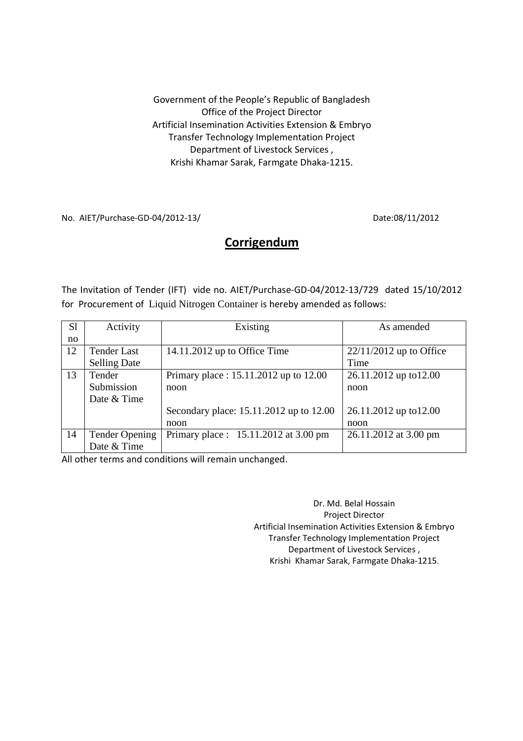Government of the People's Republic of Bangladesh Office of the Project Director Artificial Insemination Activities Extension & Embryo Transfer Technology Implementation Project Department of Livestock Services , Krishi Khamar Sarak, Farmgate Dhaka-1215.

No. AIET/Purchase-GD-04/2012-13/ Date:08/11/2012

## **Corrigendum**

The Invitation of Tender (IFT) vide no. AIET/Purchase-GD-04/2012-13/729 dated 15/10/2012 for Procurement of Liquid Nitrogen Container is hereby amended as follows:

| S1 | Activity              | Existing                                | As amended                |
|----|-----------------------|-----------------------------------------|---------------------------|
| no |                       |                                         |                           |
| 12 | <b>Tender Last</b>    | 14.11.2012 up to Office Time            | $22/11/2012$ up to Office |
|    | <b>Selling Date</b>   |                                         | Time                      |
| 13 | Tender                | Primary place: 15.11.2012 up to 12.00   | 26.11.2012 up to 12.00    |
|    | Submission            | noon                                    | noon                      |
|    | Date & Time           |                                         |                           |
|    |                       | Secondary place: 15.11.2012 up to 12.00 | 26.11.2012 up to 12.00    |
|    |                       | noon                                    | noon                      |
| 14 | <b>Tender Opening</b> | Primary place: $15.11.2012$ at 3.00 pm  | 26.11.2012 at 3.00 pm     |
|    | Date & Time           |                                         |                           |

All other terms and conditions will remain unchanged.

Dr. Md. Belal Hossain Project Director Artificial Insemination Activities Extension & Embryo Transfer Technology Implementation Project Department of Livestock Services , Krishi Khamar Sarak, Farmgate Dhaka-1215.